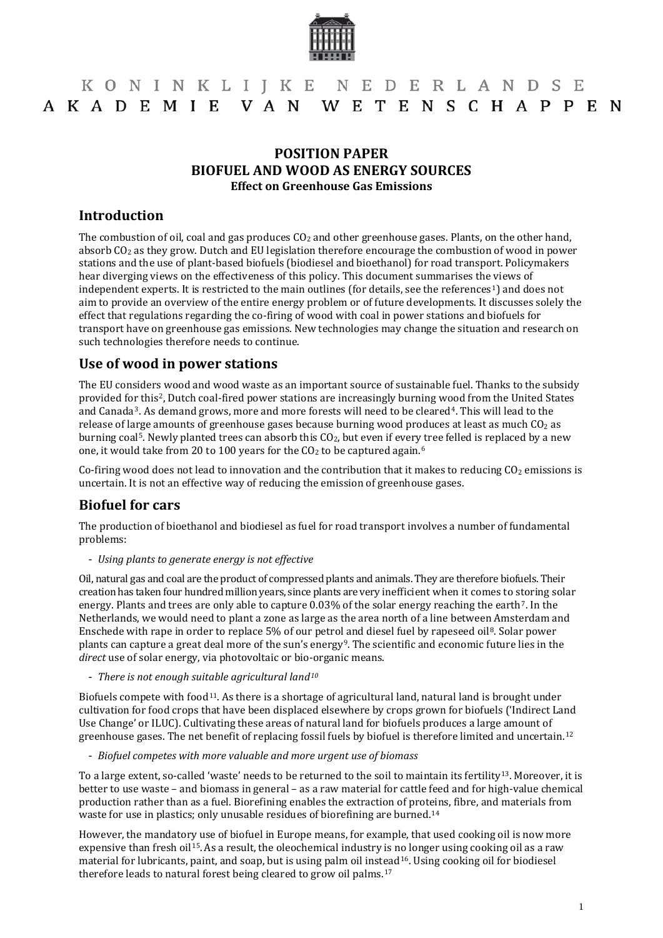

# KONINKLIJKE NEDERLANDSE AKADEMIE VAN WETENSCHAPPEN

#### **POSITION PAPER BIOFUEL AND WOOD AS ENERGY SOURCES Effect on Greenhouse Gas Emissions**

#### **Introduction**

The combustion of oil, coal and gas produces  $CO<sub>2</sub>$  and other greenhouse gases. Plants, on the other hand, absorb CO2 as they grow. Dutch and EU legislation therefore encourage the combustion of wood in power stations and the use of plant-based biofuels (biodiesel and bioethanol) for road transport. Policymakers hear diverging views on the effectiveness of this policy. This document summarises the views of independent experts. It is restricted to the main outlines (for details, see the references<sup>1</sup>) and does not aim to provide an overview of the entire energy problem or of future developments. It discusses solely the effect that regulations regarding the co-firing of wood with coal in power stations and biofuels for transport have on greenhouse gas emissions. New technologies may change the situation and research on such technologies therefore needs to continue.

### **Use of wood in power stations**

The EU considers wood and wood waste as an important source of sustainable fuel. Thanks to the subsidy provided fo[r](#page-3-2) this[2,](#page-3-1) Dutch coal-fired power stations are increasingly burning w[oo](#page-3-3)d from the United States and Canada3. As demand grows, more and more forests will need to be cleared4. This will lead to the release of large amounts of greenhouse gases because burning wood produces at least as much  $CO<sub>2</sub>$  as burning coal<sup>5</sup>. Newly planted [t](#page-3-5)rees can absorb this CO<sub>2</sub>, but even if every tree felled is replaced by a new one, it would take from 20 to 100 years for the  $CO<sub>2</sub>$  to be captured again.<sup>6</sup>

Co-firing wood does not lead to innovation and the contribution that it makes to reducing  $CO<sub>2</sub>$  emissions is uncertain. It is not an effective way of reducing the emission of greenhouse gases.

#### **Biofuel for cars**

The production of bioethanol and biodiesel as fuel for road transport involves a number of fundamental problems:

- *Using plants to generate energy is not effective*

Oil, natural gas and coal are the product of compressed plants and animals. They are therefore biofuels. Their creation has taken four hundred million years, since plants are very inefficient when it comes to storing solar energy. Plants and trees are only able to capture 0.03% of the solar energy reaching the earth[7](#page-3-6). In the Netherlands, we would need to plant a zone as large as the area north of a line between Amsterdam and Enschede with rape in order to replace 5% of our petrol [a](#page-3-8)nd diesel fuel by rapeseed oil<sup>8</sup>. Solar power plants can capture a great deal more of the sun's energy9. The scientific and economic future lies in the *direct* use of solar energy, via photovoltaic or bio-organic means.

- *There is not enough suitable agricultural land[10](#page-3-9)*

Biofuels compete with food<sup>[11](#page-3-10)</sup>. As there is a shortage of agricultural land, natural land is brought under cultivation for food crops that have been displaced elsewhere by crops grown for biofuels ('Indirect Land Use Change' or ILUC). Cultivating these areas of natural land for biofuels produces a large amount of greenhouse gases. The net benefit of replacing fossil fuels by biofuel is therefore limited and uncertain.[12](#page-3-11)

- *Biofuel competes with more valuable and more urgent use of biomass*

To a large extent, so-called 'waste' needs to be returned to the soil to maintain its fertility<sup>13</sup>. Moreover, it is better to use waste – and biomass in general – as a raw material for cattle feed and for high-value chemical production rather than as a fuel. Biorefining enables the extraction of proteins, fibre, and materials from waste for use in plastics; only unusable residues of biorefining are burned.<sup>[14](#page-3-4)</sup>

However, the mandatory use of biofuel in Europe means, for example, that used cooking oil is now more expensive than fresh oil[15](#page-3-5).As a result, the oleochemical industry is no longer using cooking oil as a raw material for lubricants, paint, and soap, but is using palm oil inst[ea](#page-3-14)d<sup>[16](#page-3-13)</sup>. Using cooking oil for biodiesel therefore leads to natural forest being cleared to grow oil palms.17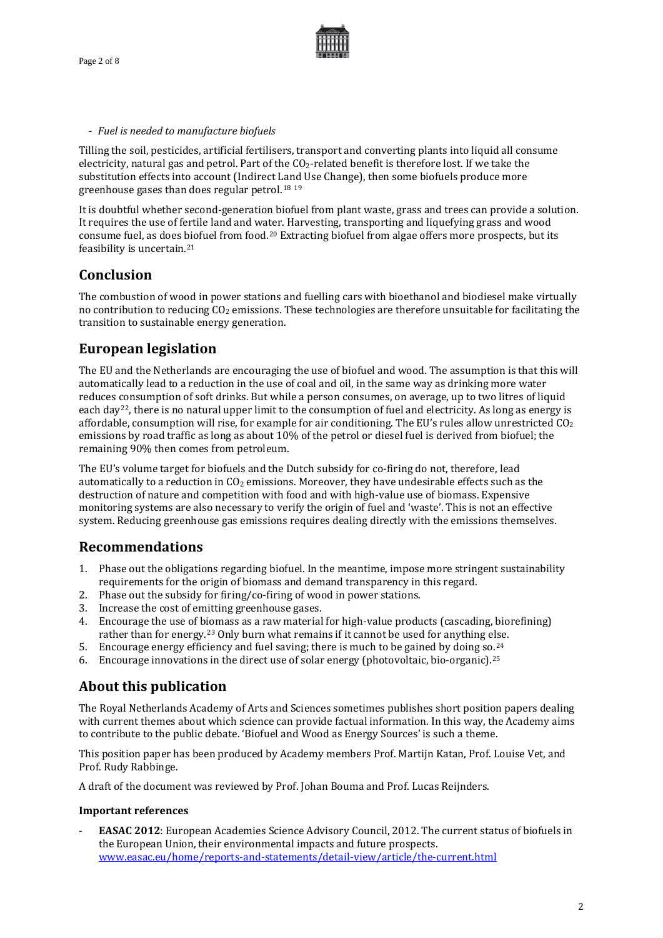

#### - *Fuel is needed to manufacture biofuels*

Tilling the soil, pesticides, artificial fertilisers, transport and converting plants into liquid all consume electricity, natural gas and petrol. Part of the  $CO<sub>2</sub>$ -related benefit is therefore lost. If we take the substitution effects into account (Indirect La[nd](#page-4-1) Use Change), then some biofuels produce more greenhouse gases than does regular petrol.[18](#page-4-0) <sup>19</sup>

It is doubtful whether second-generation biofuel from plant waste, grass and trees can provide a solution. It requires the use of fertile land and water. Harvesting, transporting and liquefying grass and wood consume fuel, as does [bio](#page-4-3)fuel from food.[20](#page-4-2) Extracting biofuel from algae offers more prospects, but its feasibility is uncertain.<sup>21</sup>

### **Conclusion**

The combustion of wood in power stations and fuelling cars with bioethanol and biodiesel make virtually no contribution to reducing  $CO<sub>2</sub>$  emissions. These technologies are therefore unsuitable for facilitating the transition to sustainable energy generation.

## **European legislation**

The EU and the Netherlands are encouraging the use of biofuel and wood. The assumption is that this will automatically lead to a reduction in the use of coal and oil, in the same way as drinking more water reduces consumption of soft drinks. But while a person consumes, on average, up to two litres of liquid each day<sup>[22](#page-4-4)</sup>, there is no natural upper limit to the consumption of fuel and electricity. As long as energy is affordable, consumption will rise, for example for air conditioning. The EU's rules allow unrestricted  $CO<sub>2</sub>$ emissions by road traffic as long as about 10% of the petrol or diesel fuel is derived from biofuel; the remaining 90% then comes from petroleum.

The EU's volume target for biofuels and the Dutch subsidy for co-firing do not, therefore, lead automatically to a reduction in  $CO<sub>2</sub>$  emissions. Moreover, they have undesirable effects such as the destruction of nature and competition with food and with high-value use of biomass. Expensive monitoring systems are also necessary to verify the origin of fuel and 'waste'. This is not an effective system. Reducing greenhouse gas emissions requires dealing directly with the emissions themselves.

### **Recommendations**

- 1. Phase out the obligations regarding biofuel. In the meantime, impose more stringent sustainability requirements for the origin of biomass and demand transparency in this regard.
- 2. Phase out the subsidy for firing/co-firing of wood in power stations.
- 3. Increase the cost of emitting greenhouse gases.
- 4. Encourage the use of biomass as a raw material for high-value products (cascading, biorefining) rather than for energy.[23](#page-4-5) Only burn what remains if it cannot be used for anything else.
- 5. Encourage energy efficiency and fuel saving; there is much to be gained by doing so.  $24$  $24$
- 6. Encourage innovations in the direct use of solar energy (photovoltaic, bio-organic).25

# **About this publication**

The Royal Netherlands Academy of Arts and Sciences sometimes publishes short position papers dealing with current themes about which science can provide factual information. In this way, the Academy aims to contribute to the public debate. 'Biofuel and Wood as Energy Sources' is such a theme.

This position paper has been produced by Academy members Prof. Martijn Katan, Prof. Louise Vet, and Prof. Rudy Rabbinge.

A draft of the document was reviewed by Prof. Johan Bouma and Prof. Lucas Reijnders.

#### **Important references**

- **EASAC 2012**: European Academies Science Advisory Council, 2012. The current status of biofuels in the European Union, their environmental impacts and future prospects. [www.easac.eu/home/reports-and-statements/detail-view/article/the-current.html](http://www.easac.eu/home/reports-and-statements/detail-view/article/the-current.html)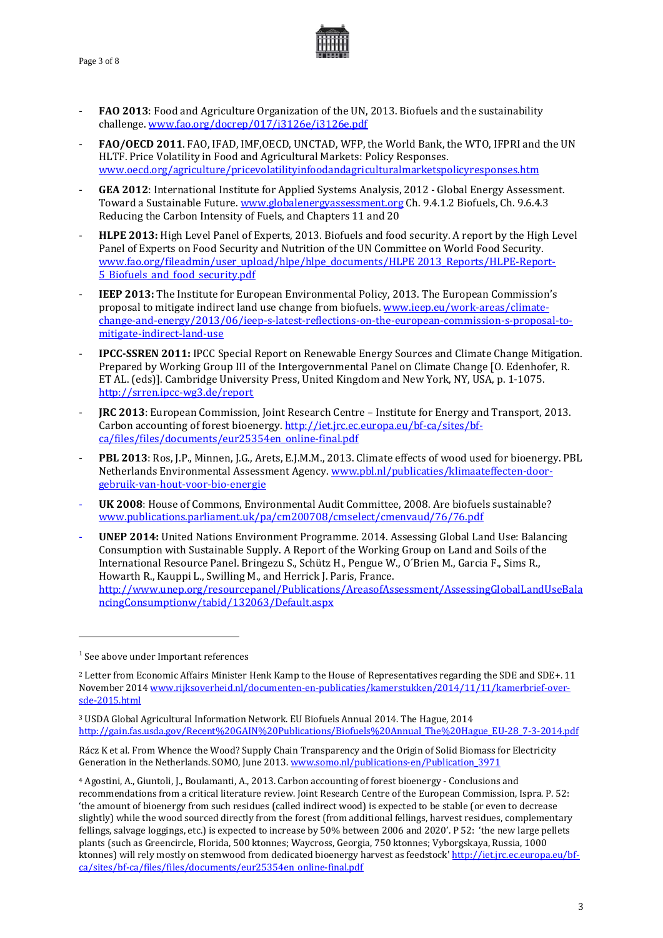Page 3 of 8



- **FAO 2013**: Food and Agriculture Organization of the UN, 2013. Biofuels and the sustainability challenge[. www.fao.org/docrep/017/i3126e/i3126e.pdf](http://www.fao.org/docrep/017/i3126e/i3126e.pdf)
- **FAO/OECD 2011**. FAO, IFAD, IMF,OECD, UNCTAD, WFP, the World Bank, the WTO, IFPRI and the UN HLTF. Price Volatility in Food and Agricultural Markets: Policy Responses. [www.oecd.org/agriculture/pricevolatilityinfoodandagriculturalmarketspolicyresponses.htm](http://www.oecd.org/agriculture/pricevolatilityinfoodandagriculturalmarketspolicyresponses.htm)
- **GEA 2012**: International Institute for Applied Systems Analysis, 2012 Global Energy Assessment. Toward a Sustainable Future. [www.globalenergyassessment.org](http://www.globalenergyassessment.org/) Ch. 9.4.1.2 Biofuels, Ch. 9.6.4.3 Reducing the Carbon Intensity of Fuels, and Chapters 11 and 20
- **HLPE 2013:** High Level Panel of Experts, 2013. Biofuels and food security. A report by the High Level Panel of Experts on Food Security and Nutrition of the UN Committee on World Food Security. [www.fao.org/fileadmin/user\\_upload/hlpe/hlpe\\_documents/HLPE 2013\\_Reports/HLPE-Report-](http://www.fao.org/fileadmin/user_upload/hlpe/hlpe_documents/HLPE_Reports/HLPE-Report-5_Biofuels_and_food_security.pdf)5 Biofuels and food security.pdf
- **IEEP 2013:** The Institute for European Environmental Policy, 2013. The European Commission's proposal to mitigate indirect land use change from biofuels[. www.ieep.eu/work-areas/climate](http://www.ieep.eu/work-areas/climate-change-and-energy/2013/06/ieep-s-latest-reflections-on-the-european-commission-s-proposal-to-mitigate-indirect-land-use)[change-and-energy/2013/06/ieep-s-latest-reflections-on-the-european-commission-s-proposal-to](http://www.ieep.eu/work-areas/climate-change-and-energy/2013/06/ieep-s-latest-reflections-on-the-european-commission-s-proposal-to-mitigate-indirect-land-use)[mitigate-indirect-land-use](http://www.ieep.eu/work-areas/climate-change-and-energy/2013/06/ieep-s-latest-reflections-on-the-european-commission-s-proposal-to-mitigate-indirect-land-use)
- **IPCC-SSREN 2011:** IPCC Special Report on Renewable Energy Sources and Climate Change Mitigation. Prepared by Working Group III of the Intergovernmental Panel on Climate Change [O. Edenhofer, R. ET AL. (eds)]. Cambridge University Press, United Kingdom and New York, NY, USA, p. 1-1075. <http://srren.ipcc-wg3.de/report>
- **JRC 2013**: European Commission, Joint Research Centre Institute for Energy and Transport, 2013. Carbon accounting of forest bioenergy. [http://iet.jrc.ec.europa.eu/bf-ca/sites/bf](http://iet.jrc.ec.europa.eu/bf-ca/sites/bf-ca/files/files/documents/eur25354en_online-final.pdf)[ca/files/files/documents/eur25354en\\_online-final.pdf](http://iet.jrc.ec.europa.eu/bf-ca/sites/bf-ca/files/files/documents/eur25354en_online-final.pdf)
- **PBL 2013**: Ros, J.P., Minnen, J.G., Arets, E.J.M.M., 2013. Climate effects of wood used for bioenergy. PBL Netherlands Environmental Assessment Agency[. www.pbl.nl/publicaties/klimaateffecten-door](http://www.pbl.nl/publicaties/klimaateffecten-door-gebruik-van-hout-voor-bio-energie)[gebruik-van-hout-voor-bio-energie](http://www.pbl.nl/publicaties/klimaateffecten-door-gebruik-van-hout-voor-bio-energie)
- **UK 2008**: House of Commons, Environmental Audit Committee, 2008. Are biofuels sustainable? [www.publications.parliament.uk/pa/cm200708/cmselect/cmenvaud/76/76.pdf](http://www.publications.parliament.uk/pa/cm200708/cmselect/cmenvaud/76/76.pdf)
- **UNEP 2014:** United Nations Environment Programme. 2014. Assessing Global Land Use: Balancing Consumption with Sustainable Supply. A Report of the Working Group on Land and Soils of the International Resource Panel. Bringezu S., Schütz H., Pengue W., O´Brien M., Garcia F., Sims R., Howarth R., Kauppi L., Swilling M., and Herrick J. Paris, France. [http://www.unep.org/resourcepanel/Publications/AreasofAssessment/AssessingGlobalLandUseBala](http://www.unep.org/resourcepanel/Publications/AreasofAssessment/AssessingGlobalLandUseBalancingConsumptionw/tabid/132063/Default.aspx) [ncingConsumptionw/tabid/132063/Default.aspx](http://www.unep.org/resourcepanel/Publications/AreasofAssessment/AssessingGlobalLandUseBalancingConsumptionw/tabid/132063/Default.aspx)

<u>.</u>

Rácz K et al. From Whence the Wood? Supply Chain Transparency and the Origin of Solid Biomass for Electricity Generation in the Netherlands. SOMO, June 2013[. www.somo.nl/publications-en/Publication\\_3971](http://www.somo.nl/publications-en/Publication_3971)

<sup>&</sup>lt;sup>1</sup> See above under Important references

<sup>2</sup> Letter from Economic Affairs Minister Henk Kamp to the House of Representatives regarding the SDE and SDE+. 11 November 201[4 www.rijksoverheid.nl/documenten-en-publicaties/kamerstukken/2014/11/11/kamerbrief-over](http://www.rijksoverheid.nl/documenten-en-publicaties/kamerstukken/2014/11/11/kamerbrief-over-sde-2015.html)[sde-2015.html](http://www.rijksoverheid.nl/documenten-en-publicaties/kamerstukken/2014/11/11/kamerbrief-over-sde-2015.html)

<sup>3</sup> USDA Global Agricultural Information Network. EU Biofuels Annual 2014. The Hague, 2014 [http://gain.fas.usda.gov/Recent%20GAIN%20Publications/Biofuels%20Annual\\_The%20Hague\\_EU-28\\_7-3-2014.pdf](http://gain.fas.usda.gov/Recent%20GAIN%20Publications/Biofuels%20Annual_The%20Hague_EU-28_7-3-2014.pdf)

<sup>4</sup> Agostini, A., Giuntoli, J., Boulamanti, A., 2013. Carbon accounting of forest bioenergy - Conclusions and recommendations from a critical literature review. Joint Research Centre of the European Commission, Ispra. P. 52: 'the amount of bioenergy from such residues (called indirect wood) is expected to be stable (or even to decrease slightly) while the wood sourced directly from the forest (from additional fellings, harvest residues, complementary fellings, salvage loggings, etc.) is expected to increase by 50% between 2006 and 2020'. P 52: 'the new large pellets plants (such as Greencircle, Florida, 500 ktonnes; Waycross, Georgia, 750 ktonnes; Vyborgskaya, Russia, 1000 ktonnes) will rely mostly on stemwood from dedicated bioenergy harvest as feedstock' [http://iet.jrc.ec.europa.eu/bf](http://iet.jrc.ec.europa.eu/bf-ca/sites/bf-ca/files/files/documents/eur25354en_online-final.pdf)[ca/sites/bf-ca/files/files/documents/eur25354en\\_online-final.pdf](http://iet.jrc.ec.europa.eu/bf-ca/sites/bf-ca/files/files/documents/eur25354en_online-final.pdf)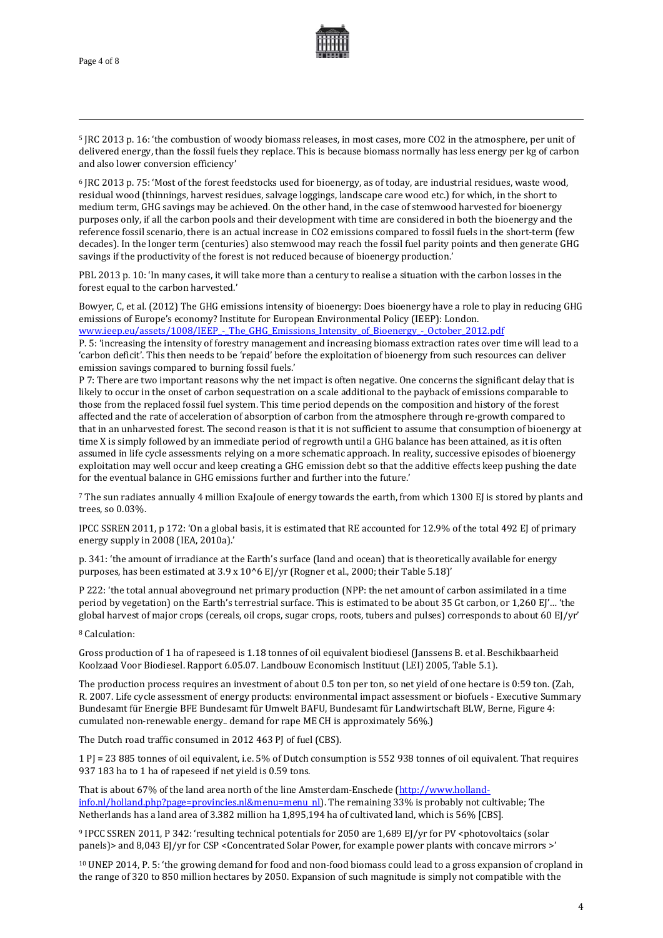

<span id="page-3-4"></span><sup>5</sup> JRC 2013 p. 16: 'the combustion of woody biomass releases, in most cases, more CO2 in the atmosphere, per unit of delivered energy, than the fossil fuels they replace. This is because biomass normally has less energy per kg of carbon and also lower conversion efficiency'

<span id="page-3-5"></span><sup>6</sup> JRC 2013 p. 75: 'Most of the forest feedstocks used for bioenergy, as of today, are industrial residues, waste wood, residual wood (thinnings, harvest residues, salvage loggings, landscape care wood etc.) for which, in the short to medium term, GHG savings may be achieved. On the other hand, in the case of stemwood harvested for bioenergy purposes only, if all the carbon pools and their development with time are considered in both the bioenergy and the reference fossil scenario, there is an actual increase in CO2 emissions compared to fossil fuels in the short-term (few decades). In the longer term (centuries) also stemwood may reach the fossil fuel parity points and then generate GHG savings if the productivity of the forest is not reduced because of bioenergy production.'

<span id="page-3-13"></span>PBL 2013 p. 10: 'In many cases, it will take more than a century to realise a situation with the carbon losses in the forest equal to the carbon harvested.'

<span id="page-3-10"></span>Bowyer, C, et al. (2012) The GHG emissions intensity of bioenergy: Does bioenergy have a role to play in reducing GHG emissions of Europe's economy? Institute for European Environmental Policy (IEEP): London.

<span id="page-3-14"></span>www.ieep.eu/assets/1008/IEEP - The GHG Emissions Intensity of Bioenergy - October 2012.pdf P. 5: 'increasing the intensity of forestry management and increasing biomass extraction rates over time will lead to a 'carbon deficit'. This then needs to be 'repaid' before the exploitation of bioenergy from such resources can deliver emission savings compared to burning fossil fuels.'

<span id="page-3-11"></span>P 7: There are two important reasons why the net impact is often negative. One concerns the significant delay that is likely to occur in the onset of carbon sequestration on a scale additional to the payback of emissions comparable to those from the replaced fossil fuel system. This time period depends on the composition and history of the forest affected and the rate of acceleration of absorption of carbon from the atmosphere through re-growth compared to that in an unharvested forest. The second reason is that it is not sufficient to assume that consumption of bioenergy at time X is simply followed by an immediate period of regrowth until a GHG balance has been attained, as it is often assumed in life cycle assessments relying on a more schematic approach. In reality, successive episodes of bioenergy exploitation may well occur and keep creating a GHG emission debt so that the additive effects keep pushing the date for the eventual balance in GHG emissions further and further into the future.'

<span id="page-3-6"></span><sup>7</sup> The sun radiates annually 4 million ExaJoule of energy towards the earth, from which 1300 EJ is stored by plants and trees, so 0.03%.

IPCC SSREN 2011, p 172: 'On a global basis, it is estimated that RE accounted for 12.9% of the total 492 EJ of primary energy supply in 2008 (IEA, 2010a).'

p. 341: 'the amount of irradiance at the Earth's surface (land and ocean) that is theoretically available for energy purposes, has been estimated at 3.9 x 10^6 EJ/yr (Rogner et al., 2000; their Table 5.18)'

P 222: 'the total annual aboveground net primary production (NPP: the net amount of carbon assimilated in a time period by vegetation) on the Earth's terrestrial surface. This is estimated to be about 35 Gt carbon, or 1,260 EJ'… 'the global harvest of major crops (cereals, oil crops, sugar crops, roots, tubers and pulses) corresponds to about 60 EJ/yr'

<span id="page-3-7"></span><sup>8</sup> Calculation:

<span id="page-3-0"></span>Gross production of 1 ha of rapeseed is 1.18 tonnes of oil equivalent biodiesel (Janssens B. et al. Beschikbaarheid Koolzaad Voor Biodiesel. Rapport 6.05.07. Landbouw Economisch Instituut (LEI) 2005, Table 5.1).

<span id="page-3-1"></span>The production process requires an investment of about 0.5 ton per ton, so net yield of one hectare is 0:59 ton. (Zah, R. 2007. Life cycle assessment of energy products: environmental impact assessment or biofuels - Executive Summary Bundesamt für Energie BFE Bundesamt für Umwelt BAFU, Bundesamt für Landwirtschaft BLW, Berne, Figure 4: cumulated non-renewable energy.. demand for rape ME CH is approximately 56%.)

<span id="page-3-2"></span>The Dutch road traffic consumed in 2012 463 PJ of fuel (CBS).

1 PJ = 23 885 tonnes of oil equivalent, i.e. 5% of Dutch consumption is 552 938 tonnes of oil equivalent. That requires 937 183 ha to 1 ha of rapeseed if net yield is 0.59 tons.

<span id="page-3-12"></span><span id="page-3-3"></span>That is about 67% of the land area north of the line Amsterdam-Enschede [\(http://www.holland](http://www.holland-info.nl/holland.php?page=provincies.nl&menu=menu_nl)info.nl/holland.php?page=provincies.nl&menu=menu\_nl]. The remaining 33% is probably not cultivable; The Netherlands has a land area of 3.382 million ha 1,895,194 ha of cultivated land, which is 56% [CBS].

<span id="page-3-8"></span>9 IPCC SSREN 2011, P 342: 'resulting technical potentials for 2050 are 1,689 EJ/yr for PV <photovoltaics (solar panels)> and 8,043 EJ/yr for CSP <Concentrated Solar Power, for example power plants with concave mirrors >'

<span id="page-3-9"></span><sup>10</sup> UNEP 2014, P. 5: 'the growing demand for food and non-food biomass could lead to a gross expansion of cropland in the range of 320 to 850 million hectares by 2050. Expansion of such magnitude is simply not compatible with the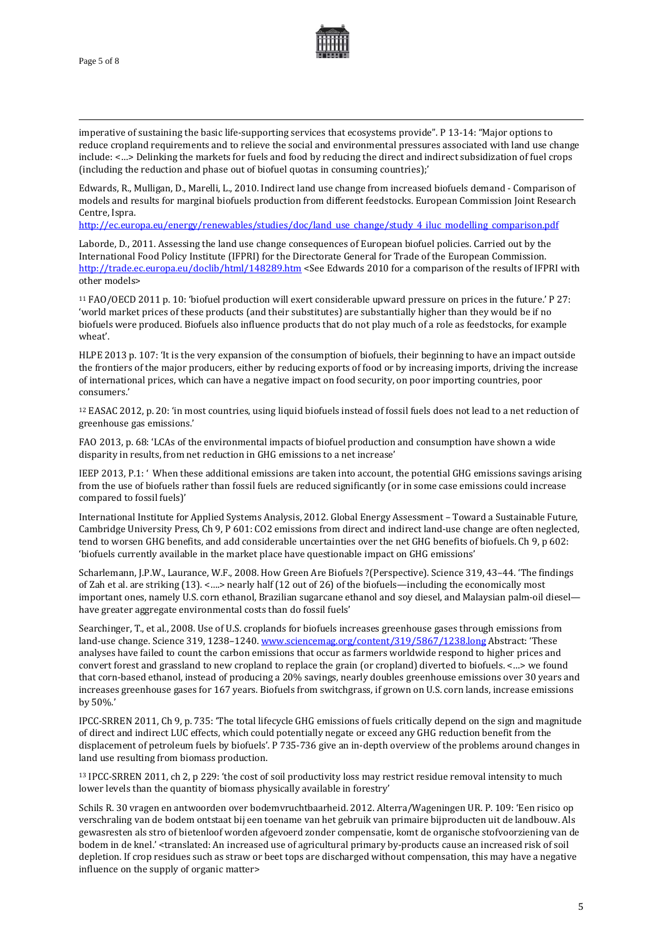

imperative of sustaining the basic life-supporting services that ecosystems provide". P 13-14: "Major options to reduce cropland requirements and to relieve the social and environmental pressures associated with land use change include: <…> Delinking the markets for fuels and food by reducing the direct and indirect subsidization of fuel crops (including the reduction and phase out of biofuel quotas in consuming countries);'

<span id="page-4-6"></span>Edwards, R., Mulligan, D., Marelli, L., 2010. Indirect land use change from increased biofuels demand - Comparison of models and results for marginal biofuels production from different feedstocks. European Commission Joint Research Centre, Ispra.

<span id="page-4-7"></span>[http://ec.europa.eu/energy/renewables/studies/doc/land\\_use\\_change/study\\_4\\_iluc\\_modelling\\_comparison.pdf](http://ec.europa.eu/energy/renewables/studies/doc/land_use_change/study_4_iluc_modelling_comparison.pdf)

Laborde, D., 2011. Assessing the land use change consequences of European biofuel policies. Carried out by the International Food Policy Institute (IFPRI) for the Directorate General for Trade of the European Commission. <http://trade.ec.europa.eu/doclib/html/148289.htm> <See Edwards 2010 for a comparison of the results of IFPRI with other models>

<sup>11</sup> FAO/OECD 2011 p. 10: 'biofuel production will exert considerable upward pressure on prices in the future.' P 27: 'world market prices of these products (and their substitutes) are substantially higher than they would be if no biofuels were produced. Biofuels also influence products that do not play much of a role as feedstocks, for example wheat'.

<span id="page-4-3"></span>HLPE 2013 p. 107: 'It is the very expansion of the consumption of biofuels, their beginning to have an impact outside the frontiers of the major producers, either by reducing exports of food or by increasing imports, driving the increase of international prices, which can have a negative impact on food security, on poor importing countries, poor consumers.'

<sup>12</sup> EASAC 2012, p. 20: 'in most countries, using liquid biofuels instead of fossil fuels does not lead to a net reduction of greenhouse gas emissions.'

FAO 2013, p. 68: 'LCAs of the environmental impacts of biofuel production and consumption have shown a wide disparity in results, from net reduction in GHG emissions to a net increase'

IEEP 2013, P.1: ' When these additional emissions are taken into account, the potential GHG emissions savings arising from the use of biofuels rather than fossil fuels are reduced significantly (or in some case emissions could increase compared to fossil fuels)'

<span id="page-4-0"></span>International Institute for Applied Systems Analysis, 2012. Global Energy Assessment – Toward a Sustainable Future, Cambridge University Press, Ch 9, P 601: CO2 emissions from direct and indirect land-use change are often neglected, tend to worsen GHG benefits, and add considerable uncertainties over the net GHG benefits of biofuels. Ch 9, p 602: 'biofuels currently available in the market place have questionable impact on GHG emissions'

Scharlemann, J.P.W., Laurance, W.F., 2008. How Green Are Biofuels ?(Perspective). Science 319, 43–44. 'The findings of Zah et al. are striking (13). <….> nearly half (12 out of 26) of the biofuels—including the economically most important ones, namely U.S. corn ethanol, Brazilian sugarcane ethanol and soy diesel, and Malaysian palm-oil diesel have greater aggregate environmental costs than do fossil fuels'

Searchinger, T., et al., 2008. Use of U.S. croplands for biofuels increases greenhouse gases through emissions from land-use change. Science 319, 1238–1240[. www.sciencemag.org/content/319/5867/1238.long](http://www.sciencemag.org/content/319/5867/1238.long) Abstract: 'These analyses have failed to count the carbon emissions that occur as farmers worldwide respond to higher prices and convert forest and grassland to new cropland to replace the grain (or cropland) diverted to biofuels. <…> we found that corn-based ethanol, instead of producing a 20% savings, nearly doubles greenhouse emissions over 30 years and increases greenhouse gases for 167 years. Biofuels from switchgrass, if grown on U.S. corn lands, increase emissions by 50%.'

<span id="page-4-1"></span>IPCC-SRREN 2011, Ch 9, p. 735: 'The total lifecycle GHG emissions of fuels critically depend on the sign and magnitude of direct and indirect LUC effects, which could potentially negate or exceed any GHG reduction benefit from the displacement of petroleum fuels by biofuels'. P 735-736 give an in-depth overview of the problems around changes in land use resulting from biomass production.

<span id="page-4-2"></span><sup>13</sup> IPCC-SRREN 2011, ch 2, p 229: 'the cost of soil productivity loss may restrict residue removal intensity to much lower levels than the quantity of biomass physically available in forestry'

<span id="page-4-5"></span><span id="page-4-4"></span>Schils R. 30 vragen en antwoorden over bodemvruchtbaarheid. 2012. Alterra/Wageningen UR. P. 109: 'Een risico op verschraling van de bodem ontstaat bij een toename van het gebruik van primaire bijproducten uit de landbouw. Als gewasresten als stro of bietenloof worden afgevoerd zonder compensatie, komt de organische stofvoorziening van de bodem in de knel.' <translated: An increased use of agricultural primary by-products cause an increased risk of soil depletion. If crop residues such as straw or beet tops are discharged without compensation, this may have a negative influence on the supply of organic matter>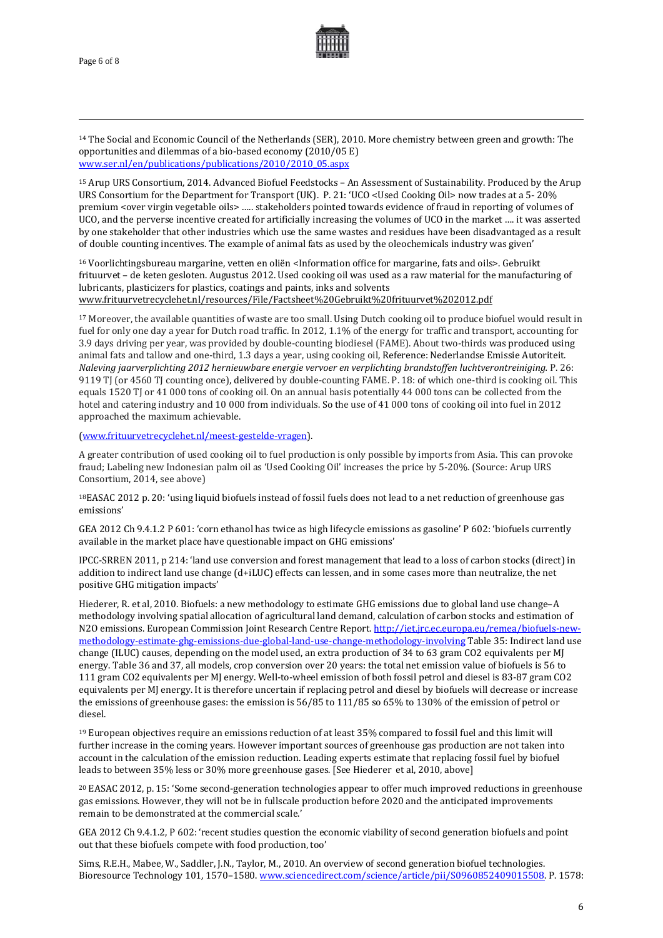

<sup>14</sup> The Social and Economic Council of the Netherlands (SER), 2010. More chemistry between green and growth: The opportunities and dilemmas of a bio-based economy (2010/05 E) [www.ser.nl/en/publications/publications/2010/2010\\_05.aspx](http://www.ser.nl/en/publications/publications/2010/2010_05.aspx)

<sup>15</sup> Arup URS Consortium, 2014. Advanced Biofuel Feedstocks – An Assessment of Sustainability. Produced by the Arup URS Consortium for the Department for Transport (UK). P. 21: 'UCO <Used Cooking Oil> now trades at a 5- 20% premium <over virgin vegetable oils> ….. stakeholders pointed towards evidence of fraud in reporting of volumes of UCO, and the perverse incentive created for artificially increasing the volumes of UCO in the market …. it was asserted by one stakeholder that other industries which use the same wastes and residues have been disadvantaged as a result of double counting incentives. The example of animal fats as used by the oleochemicals industry was given'

<sup>16</sup> Voorlichtingsbureau margarine, vetten en oliën <Information office for margarine, fats and oils>. Gebruikt frituurvet – de keten gesloten. Augustus 2012. Used cooking oil was used as a raw material for the manufacturing of lubricants, plasticizers for plastics, coatings and paints, inks and solvents [www.frituurvetrecyclehet.nl/resources/File/Factsheet%20Gebruikt%20frituurvet%202012.pdf](http://www.frituurvetrecyclehet.nl/resources/File/Factsheet%20Gebruikt%20frituurvet%202012.pdf) 

<sup>17</sup> Moreover, the available quantities of waste are too small. Using Dutch cooking oil to produce biofuel would result in fuel for only one day a year for Dutch road traffic. In 2012, 1.1% of the energy for traffic and transport, accounting for 3.9 days driving per year, was provided by double-counting biodiesel (FAME). About two-thirds was produced using animal fats and tallow and one-third, 1.3 days a year, using cooking oil, Reference: Nederlandse Emissie Autoriteit. *Naleving jaarverplichting 2012 hernieuwbare energie vervoer en verplichting brandstoffen luchtverontreiniging.* P. 26: 9119 TJ (or 4560 TJ counting once), delivered by double-counting FAME. P. 18: of which one-third is cooking oil. This equals 1520 TJ or 41 000 tons of cooking oil. On an annual basis potentially 44 000 tons can be collected from the hotel and catering industry and 10 000 from individuals. So the use of 41 000 tons of cooking oil into fuel in 2012 approached the maximum achievable.

[\(www.frituurvetrecyclehet.nl/meest-gestelde-vragen\)](http://www.frituurvetrecyclehet.nl/meest-gestelde-vragen).

A greater contribution of used cooking oil to fuel production is only possible by imports from Asia. This can provoke fraud; Labeling new Indonesian palm oil as 'Used Cooking Oil' increases the price by 5-20%. (Source: Arup URS Consortium, 2014, see above)

18EASAC 2012 p. 20: 'using liquid biofuels instead of fossil fuels does not lead to a net reduction of greenhouse gas emissions'

GEA 2012 Ch 9.4.1.2 P 601: 'corn ethanol has twice as high lifecycle emissions as gasoline' P 602: 'biofuels currently available in the market place have questionable impact on GHG emissions'

IPCC-SRREN 2011, p 214: 'land use conversion and forest management that lead to a loss of carbon stocks (direct) in addition to indirect land use change (d+iLUC) effects can lessen, and in some cases more than neutralize, the net positive GHG mitigation impacts'

Hiederer, R. et al, 2010. Biofuels: a new methodology to estimate GHG emissions due to global land use change–A methodology involving spatial allocation of agricultural land demand, calculation of carbon stocks and estimation of N2O emissions. European Commission Joint Research Centre Report[. http://iet.jrc.ec.europa.eu/remea/biofuels-new](http://iet.jrc.ec.europa.eu/remea/biofuels-new-methodology-estimate-ghg-emissions-due-global-land-use-change-methodology-involving)[methodology-estimate-ghg-emissions-due-global-land-use-change-methodology-involving](http://iet.jrc.ec.europa.eu/remea/biofuels-new-methodology-estimate-ghg-emissions-due-global-land-use-change-methodology-involving) Table 35: Indirect land use change (ILUC) causes, depending on the model used, an extra production of 34 to 63 gram CO2 equivalents per MJ energy. Table 36 and 37, all models, crop conversion over 20 years: the total net emission value of biofuels is 56 to 111 gram CO2 equivalents per MJ energy. Well-to-wheel emission of both fossil petrol and diesel is 83-87 gram CO2 equivalents per MJ energy. It is therefore uncertain if replacing petrol and diesel by biofuels will decrease or increase the emissions of greenhouse gases: the emission is 56/85 to 111/85 so 65% to 130% of the emission of petrol or diesel.

<sup>19</sup> European objectives require an emissions reduction of at least 35% compared to fossil fuel and this limit will further increase in the coming years. However important sources of greenhouse gas production are not taken into account in the calculation of the emission reduction. Leading experts estimate that replacing fossil fuel by biofuel leads to between 35% less or 30% more greenhouse gases. [See Hiederer et al, 2010, above]

<sup>20</sup> EASAC 2012, p. 15: 'Some second-generation technologies appear to offer much improved reductions in greenhouse gas emissions. However, they will not be in fullscale production before 2020 and the anticipated improvements remain to be demonstrated at the commercial scale.'

GEA 2012 Ch 9.4.1.2, P 602: 'recent studies question the economic viability of second generation biofuels and point out that these biofuels compete with food production, too'

Sims, R.E.H., Mabee, W., Saddler, J.N., Taylor, M., 2010. An overview of second generation biofuel technologies. Bioresource Technology 101, 1570–1580[. www.sciencedirect.com/science/article/pii/S0960852409015508.](http://www.sciencedirect.com/science/article/pii/S0960852409015508) P. 1578: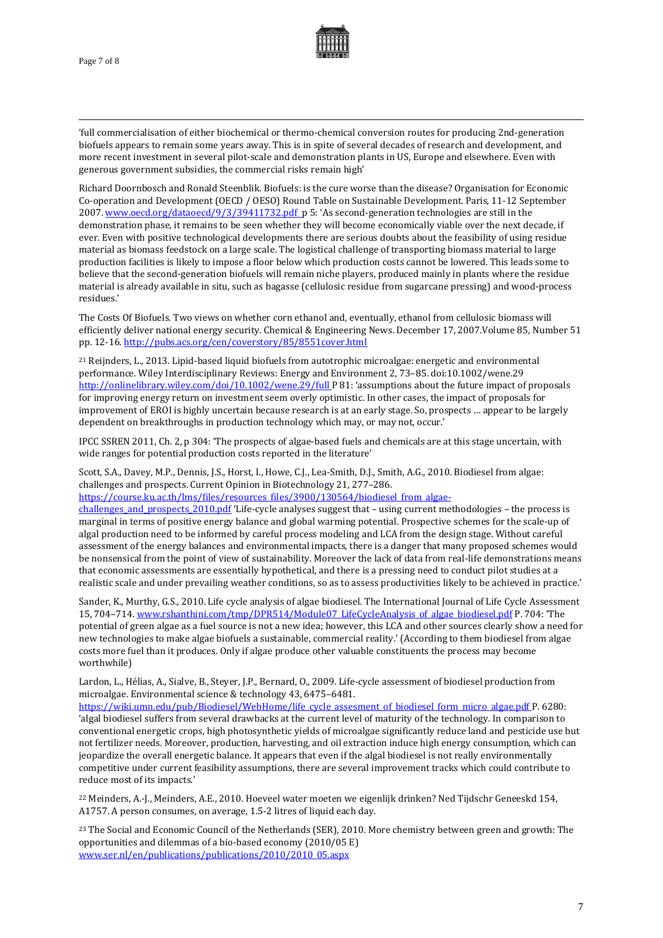

'full commercialisation of either biochemical or thermo-chemical conversion routes for producing 2nd-generation biofuels appears to remain some years away. This is in spite of several decades of research and development, and more recent investment in several pilot-scale and demonstration plants in US, Europe and elsewhere. Even with generous government subsidies, the commercial risks remain high'

Richard Doornbosch and Ronald Steenblik. Biofuels: is the cure worse than the disease? Organisation for Economic Co-operation and Development (OECD / OESO) Round Table on Sustainable Development. Paris, 11-12 September 2007[. www.oecd.org/dataoecd/9/3/39411732.pdf](http://www.oecd.org/dataoecd/9/3/39411732.pdf) p 5: 'As second-generation technologies are still in the demonstration phase, it remains to be seen whether they will become economically viable over the next decade, if ever. Even with positive technological developments there are serious doubts about the feasibility of using residue material as biomass feedstock on a large scale. The logistical challenge of transporting biomass material to large production facilities is likely to impose a floor below which production costs cannot be lowered. This leads some to believe that the second-generation biofuels will remain niche players, produced mainly in plants where the residue material is already available in situ, such as bagasse (cellulosic residue from sugarcane pressing) and wood-process residues.'

The Costs Of Biofuels. Two views on whether corn ethanol and, eventually, ethanol from cellulosic biomass will efficiently deliver national energy security. Chemical & Engineering News. December 17, 2007.Volume 85, Number 51 pp. 12-16[. http://pubs.acs.org/cen/coverstory/85/8551cover.html](http://pubs.acs.org/cen/coverstory/85/8551cover.html)

<sup>21</sup> Reijnders, L., 2013. Lipid-based liquid biofuels from autotrophic microalgae: energetic and environmental performance. Wiley Interdisciplinary Reviews: Energy and Environment 2, 73–85. doi:10.1002/wene.29 <http://onlinelibrary.wiley.com/doi/10.1002/wene.29/full> P 81: 'assumptions about the future impact of proposals for improving energy return on investment seem overly optimistic. In other cases, the impact of proposals for improvement of EROI is highly uncertain because research is at an early stage. So, prospects … appear to be largely dependent on breakthroughs in production technology which may, or may not, occur.'

IPCC SSREN 2011, Ch. 2, p 304: 'The prospects of algae-based fuels and chemicals are at this stage uncertain, with wide ranges for potential production costs reported in the literature'

Scott, S.A., Davey, M.P., Dennis, J.S., Horst, I., Howe, C.J., Lea-Smith, D.J., Smith, A.G., 2010. Biodiesel from algae: challenges and prospects. Current Opinion in Biotechnology 21, 277–286.

[https://course.ku.ac.th/lms/files/resources\\_files/3900/130564/biodiesel\\_from\\_algae-](https://course.ku.ac.th/lms/files/resources_files/3900/130564/biodiesel_from_algae-challenges_and_prospects_2010.pdf)

[challenges\\_and\\_prospects\\_2010.pdf](https://course.ku.ac.th/lms/files/resources_files/3900/130564/biodiesel_from_algae-challenges_and_prospects_2010.pdf) 'Life-cycle analyses suggest that – using current methodologies – the process is marginal in terms of positive energy balance and global warming potential. Prospective schemes for the scale-up of algal production need to be informed by careful process modeling and LCA from the design stage. Without careful assessment of the energy balances and environmental impacts, there is a danger that many proposed schemes would be nonsensical from the point of view of sustainability. Moreover the lack of data from real-life demonstrations means that economic assessments are essentially hypothetical, and there is a pressing need to conduct pilot studies at a realistic scale and under prevailing weather conditions, so as to assess productivities likely to be achieved in practice.'

Sander, K., Murthy, G.S., 2010. Life cycle analysis of algae biodiesel. The International Journal of Life Cycle Assessment 15, 704–714[. www.rshanthini.com/tmp/DPR514/Module07\\_LifeCycleAnalysis\\_of\\_algae\\_biodiesel.pdf](http://www.rshanthini.com/tmp/DPR514/Module07_LifeCycleAnalysis_of_algae_biodiesel.pdf) P. 704: 'The potential of green algae as a fuel source is not a new idea; however, this LCA and other sources clearly show a need for new technologies to make algae biofuels a sustainable, commercial reality.' (According to them biodiesel from algae costs more fuel than it produces. Only if algae produce other valuable constituents the process may become worthwhile)

Lardon, L., Hélias, A., Sialve, B., Steyer, J.P., Bernard, O., 2009. Life-cycle assessment of biodiesel production from microalgae. Environmental science & technology 43, 6475–6481.

[https://wiki.umn.edu/pub/Biodiesel/WebHome/life\\_cycle\\_assesment\\_of\\_biodiesel\\_form\\_micro\\_algae.pdf](https://wiki.umn.edu/pub/Biodiesel/WebHome/life_cycle_assesment_of_biodiesel_form_micro_algae.pdf) P. 6280: 'algal biodiesel suffers from several drawbacks at the current level of maturity of the technology. In comparison to conventional energetic crops, high photosynthetic yields of microalgae significantly reduce land and pesticide use but not fertilizer needs. Moreover, production, harvesting, and oil extraction induce high energy consumption, which can jeopardize the overall energetic balance. It appears that even if the algal biodiesel is not really environmentally competitive under current feasibility assumptions, there are several improvement tracks which could contribute to reduce most of its impacts.'

<sup>22</sup> Meinders, A.-J., Meinders, A.E., 2010. Hoeveel water moeten we eigenlijk drinken? Ned Tijdschr Geneeskd 154, A1757. A person consumes, on average, 1.5-2 litres of liquid each day.

<sup>23</sup> The Social and Economic Council of the Netherlands (SER), 2010. More chemistry between green and growth: The opportunities and dilemmas of a bio-based economy (2010/05 E) [www.ser.nl/en/publications/publications/2010/2010\\_05.aspx](http://www.ser.nl/en/publications/publications/2010/2010_05.aspx)